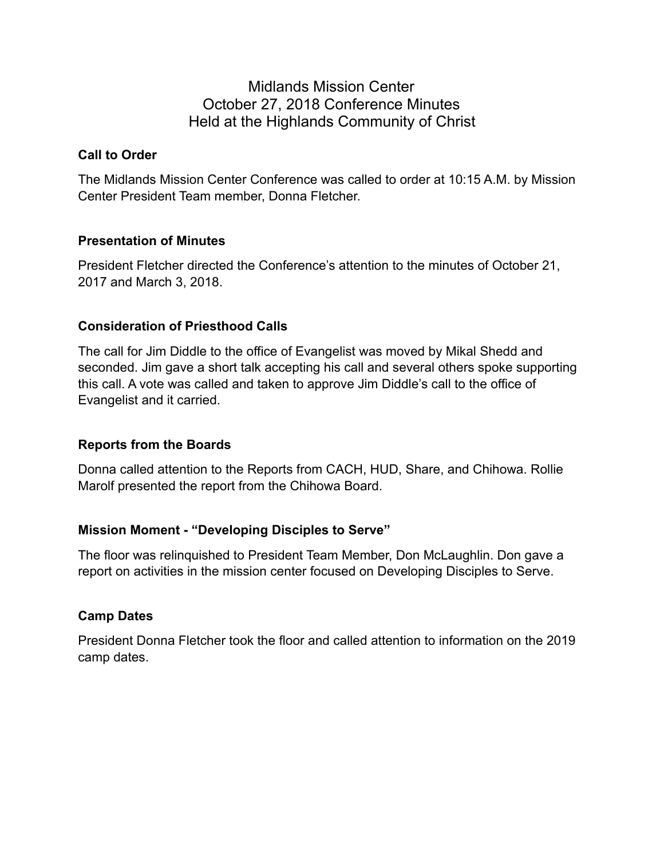# Midlands Mission Center October 27, 2018 Conference Minutes Held at the Highlands Community of Christ

### **Call to Order**

The Midlands Mission Center Conference was called to order at 10:15 A.M. by Mission Center President Team member, Donna Fletcher.

## **Presentation of Minutes**

President Fletcher directed the Conference's attention to the minutes of October 21, 2017 and March 3, 2018.

## **Consideration of Priesthood Calls**

The call for Jim Diddle to the office of Evangelist was moved by Mikal Shedd and seconded. Jim gave a short talk accepting his call and several others spoke supporting this call. A vote was called and taken to approve Jim Diddle's call to the office of Evangelist and it carried.

### **Reports from the Boards**

Donna called attention to the Reports from CACH, HUD, Share, and Chihowa. Rollie Marolf presented the report from the Chihowa Board.

## **Mission Moment - "Developing Disciples to Serve"**

The floor was relinquished to President Team Member, Don McLaughlin. Don gave a report on activities in the mission center focused on Developing Disciples to Serve.

## **Camp Dates**

President Donna Fletcher took the floor and called attention to information on the 2019 camp dates.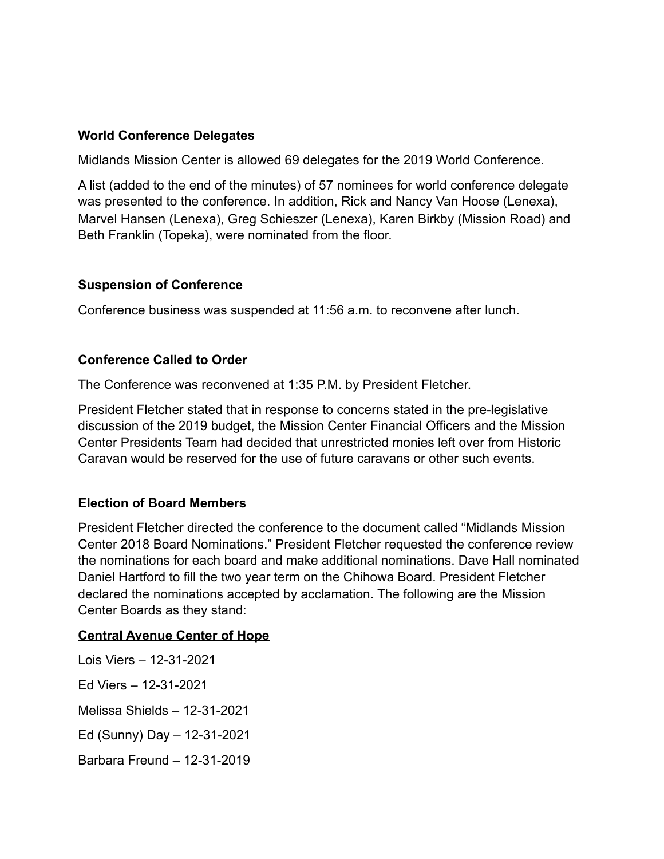### **World Conference Delegates**

Midlands Mission Center is allowed 69 delegates for the 2019 World Conference.

A list (added to the end of the minutes) of 57 nominees for world conference delegate was presented to the conference. In addition, Rick and Nancy Van Hoose (Lenexa), Marvel Hansen (Lenexa), Greg Schieszer (Lenexa), Karen Birkby (Mission Road) and Beth Franklin (Topeka), were nominated from the floor.

### **Suspension of Conference**

Conference business was suspended at 11:56 a.m. to reconvene after lunch.

### **Conference Called to Order**

The Conference was reconvened at 1:35 P.M. by President Fletcher.

President Fletcher stated that in response to concerns stated in the pre-legislative discussion of the 2019 budget, the Mission Center Financial Officers and the Mission Center Presidents Team had decided that unrestricted monies left over from Historic Caravan would be reserved for the use of future caravans or other such events.

#### **Election of Board Members**

President Fletcher directed the conference to the document called "Midlands Mission Center 2018 Board Nominations." President Fletcher requested the conference review the nominations for each board and make additional nominations. Dave Hall nominated Daniel Hartford to fill the two year term on the Chihowa Board. President Fletcher declared the nominations accepted by acclamation. The following are the Mission Center Boards as they stand:

#### **Central Avenue Center of Hope**

Lois Viers – 12-31-2021 Ed Viers – 12-31-2021 Melissa Shields – 12-31-2021 Ed (Sunny) Day – 12-31-2021 Barbara Freund – 12-31-2019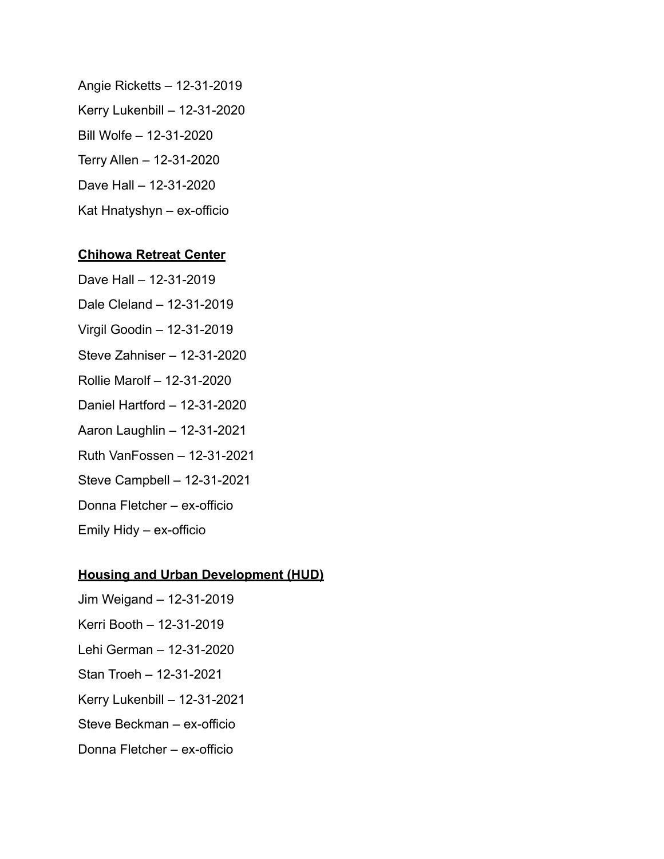Angie Ricketts – 12-31-2019 Kerry Lukenbill – 12-31-2020 Bill Wolfe – 12-31-2020 Terry Allen – 12-31-2020 Dave Hall – 12-31-2020 Kat Hnatyshyn – ex-officio

#### **Chihowa Retreat Center**

Dave Hall – 12-31-2019 Dale Cleland – 12-31-2019 Virgil Goodin – 12-31-2019 Steve Zahniser – 12-31-2020 Rollie Marolf – 12-31-2020 Daniel Hartford – 12-31-2020 Aaron Laughlin – 12-31-2021 Ruth VanFossen – 12-31-2021 Steve Campbell – 12-31-2021

Donna Fletcher – ex-officio

Emily Hidy – ex-officio

#### **Housing and Urban Development (HUD)**

- Jim Weigand 12-31-2019
- Kerri Booth 12-31-2019
- Lehi German 12-31-2020
- Stan Troeh 12-31-2021
- Kerry Lukenbill 12-31-2021
- Steve Beckman ex-officio
- Donna Fletcher ex-officio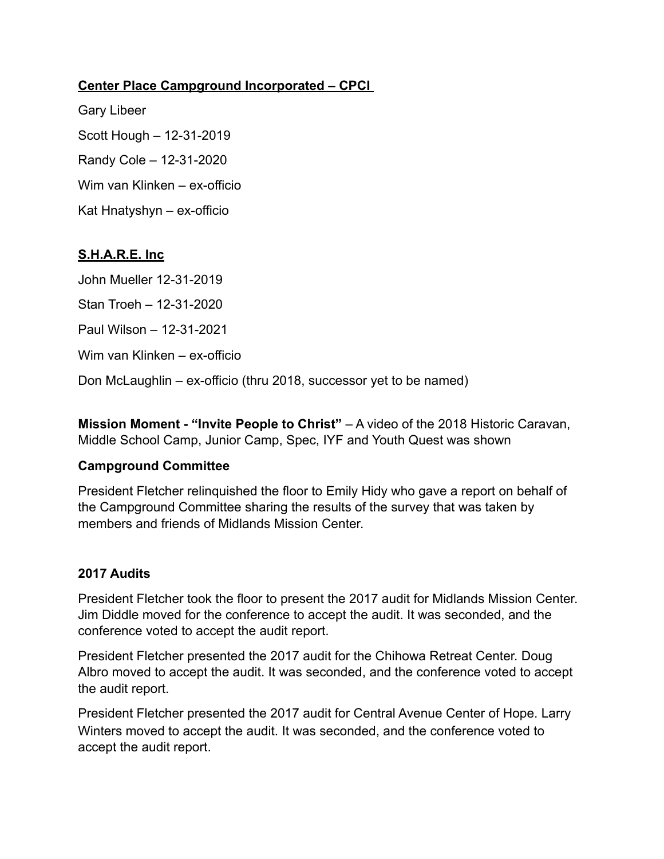### **Center Place Campground Incorporated – CPCI**

Gary Libeer Scott Hough – 12-31-2019 Randy Cole – 12-31-2020 Wim van Klinken – ex-officio Kat Hnatyshyn – ex-officio

## **S.H.A.R.E. Inc**

John Mueller 12-31-2019 Stan Troeh – 12-31-2020 Paul Wilson – 12-31-2021 Wim van Klinken – ex-officio Don McLaughlin – ex-officio (thru 2018, successor yet to be named)

**Mission Moment - "Invite People to Christ"** – A video of the 2018 Historic Caravan, Middle School Camp, Junior Camp, Spec, IYF and Youth Quest was shown

### **Campground Committee**

President Fletcher relinquished the floor to Emily Hidy who gave a report on behalf of the Campground Committee sharing the results of the survey that was taken by members and friends of Midlands Mission Center.

### **2017 Audits**

President Fletcher took the floor to present the 2017 audit for Midlands Mission Center. Jim Diddle moved for the conference to accept the audit. It was seconded, and the conference voted to accept the audit report.

President Fletcher presented the 2017 audit for the Chihowa Retreat Center. Doug Albro moved to accept the audit. It was seconded, and the conference voted to accept the audit report.

President Fletcher presented the 2017 audit for Central Avenue Center of Hope. Larry Winters moved to accept the audit. It was seconded, and the conference voted to accept the audit report.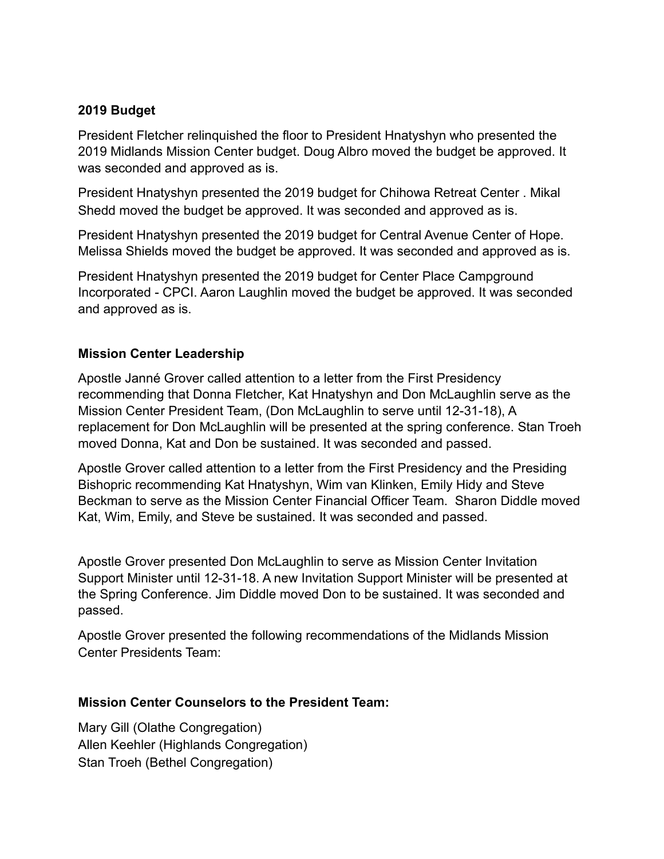## **2019 Budget**

President Fletcher relinquished the floor to President Hnatyshyn who presented the 2019 Midlands Mission Center budget. Doug Albro moved the budget be approved. It was seconded and approved as is.

President Hnatyshyn presented the 2019 budget for Chihowa Retreat Center . Mikal Shedd moved the budget be approved. It was seconded and approved as is.

President Hnatyshyn presented the 2019 budget for Central Avenue Center of Hope. Melissa Shields moved the budget be approved. It was seconded and approved as is.

President Hnatyshyn presented the 2019 budget for Center Place Campground Incorporated - CPCI. Aaron Laughlin moved the budget be approved. It was seconded and approved as is.

## **Mission Center Leadership**

Apostle Janné Grover called attention to a letter from the First Presidency recommending that Donna Fletcher, Kat Hnatyshyn and Don McLaughlin serve as the Mission Center President Team, (Don McLaughlin to serve until 12-31-18), A replacement for Don McLaughlin will be presented at the spring conference. Stan Troeh moved Donna, Kat and Don be sustained. It was seconded and passed.

Apostle Grover called attention to a letter from the First Presidency and the Presiding Bishopric recommending Kat Hnatyshyn, Wim van Klinken, Emily Hidy and Steve Beckman to serve as the Mission Center Financial Officer Team. Sharon Diddle moved Kat, Wim, Emily, and Steve be sustained. It was seconded and passed.

Apostle Grover presented Don McLaughlin to serve as Mission Center Invitation Support Minister until 12-31-18. A new Invitation Support Minister will be presented at the Spring Conference. Jim Diddle moved Don to be sustained. It was seconded and passed.

Apostle Grover presented the following recommendations of the Midlands Mission Center Presidents Team:

### **Mission Center Counselors to the President Team:**

Mary Gill (Olathe Congregation) Allen Keehler (Highlands Congregation) Stan Troeh (Bethel Congregation)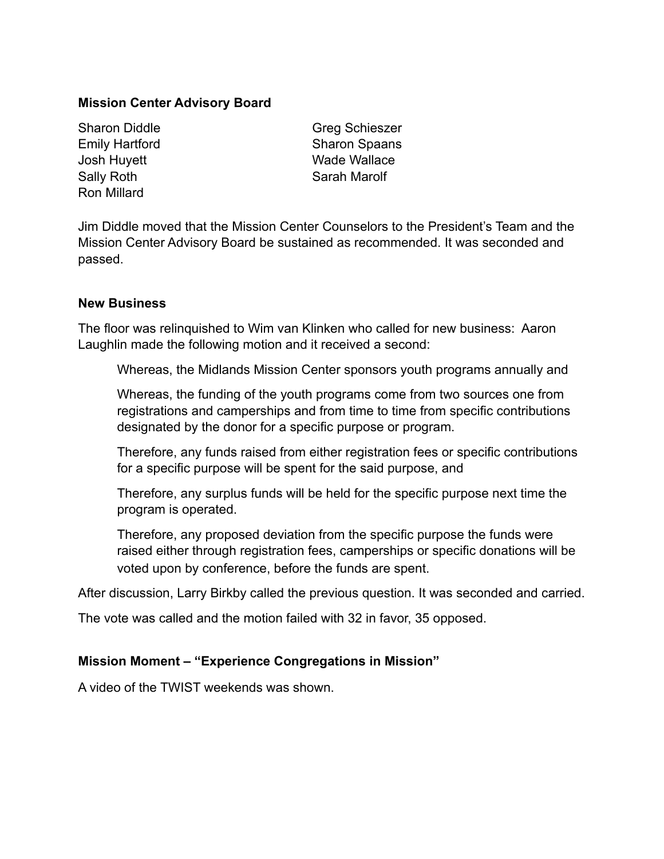#### **Mission Center Advisory Board**

Sally Roth Sarah Marolf Ron Millard

Sharon Diddle Greg Schieszer Emily Hartford Sharon Spaans Josh Huyett **Wade Wallace** 

Jim Diddle moved that the Mission Center Counselors to the President's Team and the Mission Center Advisory Board be sustained as recommended. It was seconded and passed.

#### **New Business**

The floor was relinquished to Wim van Klinken who called for new business: Aaron Laughlin made the following motion and it received a second:

Whereas, the Midlands Mission Center sponsors youth programs annually and

Whereas, the funding of the youth programs come from two sources one from registrations and camperships and from time to time from specific contributions designated by the donor for a specific purpose or program.

Therefore, any funds raised from either registration fees or specific contributions for a specific purpose will be spent for the said purpose, and

Therefore, any surplus funds will be held for the specific purpose next time the program is operated.

Therefore, any proposed deviation from the specific purpose the funds were raised either through registration fees, camperships or specific donations will be voted upon by conference, before the funds are spent.

After discussion, Larry Birkby called the previous question. It was seconded and carried.

The vote was called and the motion failed with 32 in favor, 35 opposed.

### **Mission Moment – "Experience Congregations in Mission"**

A video of the TWIST weekends was shown.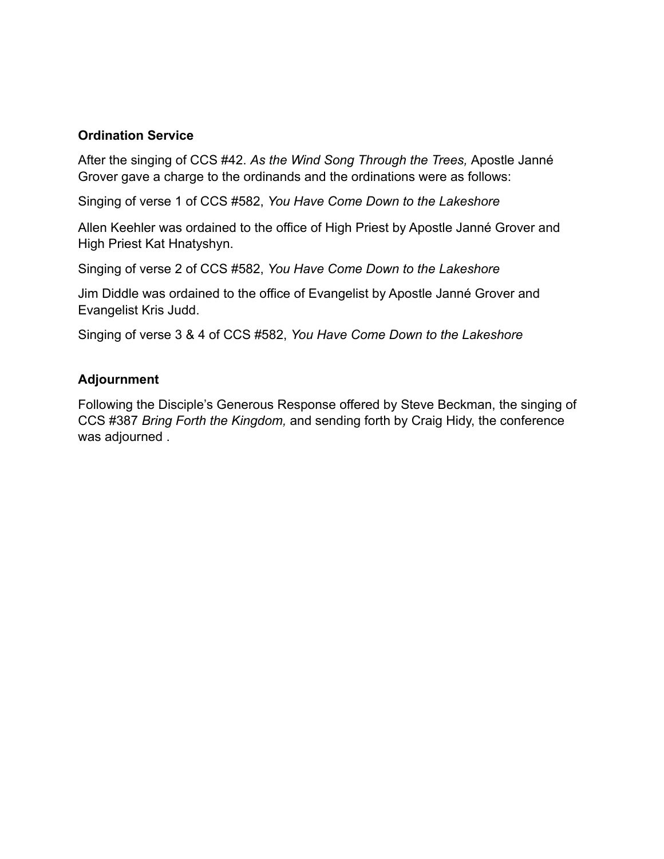#### **Ordination Service**

After the singing of CCS #42. *As the Wind Song Through the Trees,* Apostle Janné Grover gave a charge to the ordinands and the ordinations were as follows:

Singing of verse 1 of CCS #582, *You Have Come Down to the Lakeshore*

Allen Keehler was ordained to the office of High Priest by Apostle Janné Grover and High Priest Kat Hnatyshyn.

Singing of verse 2 of CCS #582, *You Have Come Down to the Lakeshore*

Jim Diddle was ordained to the office of Evangelist by Apostle Janné Grover and Evangelist Kris Judd.

Singing of verse 3 & 4 of CCS #582, *You Have Come Down to the Lakeshore*

#### **Adjournment**

Following the Disciple's Generous Response offered by Steve Beckman, the singing of CCS #387 *Bring Forth the Kingdom,* and sending forth by Craig Hidy, the conference was adjourned .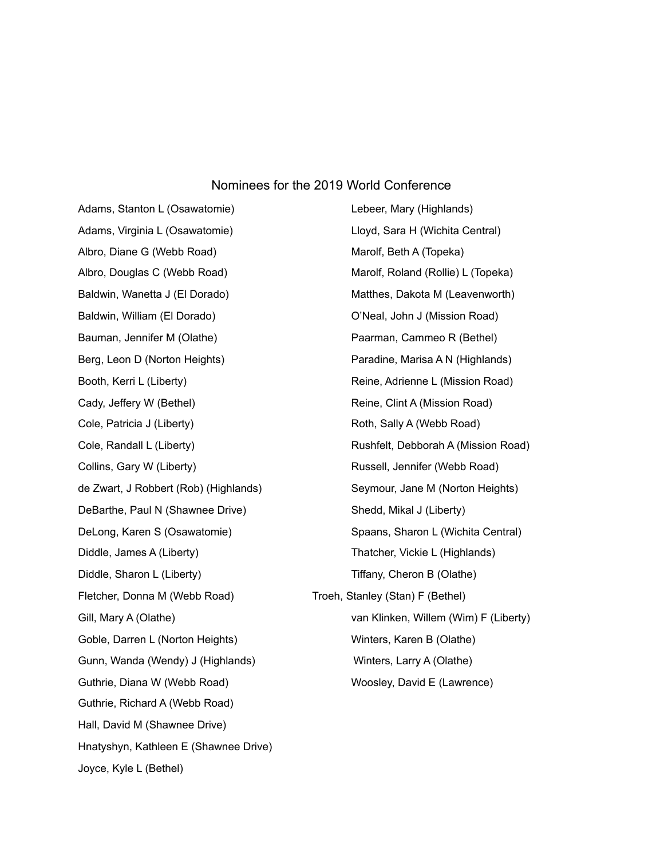#### Nominees for the 2019 World Conference

Adams, Stanton L (Osawatomie) Lebeer, Mary (Highlands) Adams, Virginia L (Osawatomie) **Letter Starbot Lloyd, Sara H** (Wichita Central) Albro, Diane G (Webb Road) Marolf, Beth A (Topeka) Baldwin, William (El Dorado) **O'Neal, John J (Mission Road)** Bauman, Jennifer M (Olathe) **Paarman, Cammeo R (Bethel)** Paarman, Cammeo R (Bethel) Cady, Jeffery W (Bethel) **Reine, Clint A (Mission Road)** Reine, Clint A (Mission Road) Cole, Patricia J (Liberty) Roth, Sally A (Webb Road) Collins, Gary W (Liberty) **Russell, Jennifer (Webb Road)** DeBarthe, Paul N (Shawnee Drive) Shedd, Mikal J (Liberty) Diddle, James A (Liberty) Thatcher, Vickie L (Highlands) Diddle, Sharon L (Liberty) Tiffany, Cheron B (Olathe) Fletcher, Donna M (Webb Road) Troeh, Stanley (Stan) F (Bethel) Goble, Darren L (Norton Heights) Winters, Karen B (Olathe) Gunn, Wanda (Wendy) J (Highlands) Winters, Larry A (Olathe) Guthrie, Diana W (Webb Road) Woosley, David E (Lawrence) Guthrie, Richard A (Webb Road) Hall, David M (Shawnee Drive) Hnatyshyn, Kathleen E (Shawnee Drive) Joyce, Kyle L (Bethel)

Albro, Douglas C (Webb Road) Marolf, Roland (Rollie) L (Topeka) Baldwin, Wanetta J (El Dorado) Matthes, Dakota M (Leavenworth) Berg, Leon D (Norton Heights) Paradine, Marisa A N (Highlands) Booth, Kerri L (Liberty) **Reine, Adrienne L (Mission Road)** Reine, Adrienne L (Mission Road) Cole, Randall L (Liberty) **Rushfelt, Debborah A (Mission Road)** Rushfelt, Debborah A (Mission Road) de Zwart, J Robbert (Rob) (Highlands) Seymour, Jane M (Norton Heights) DeLong, Karen S (Osawatomie) Spaans, Sharon L (Wichita Central) Gill, Mary A (Olathe) van Klinken, Willem (Wim) F (Liberty)